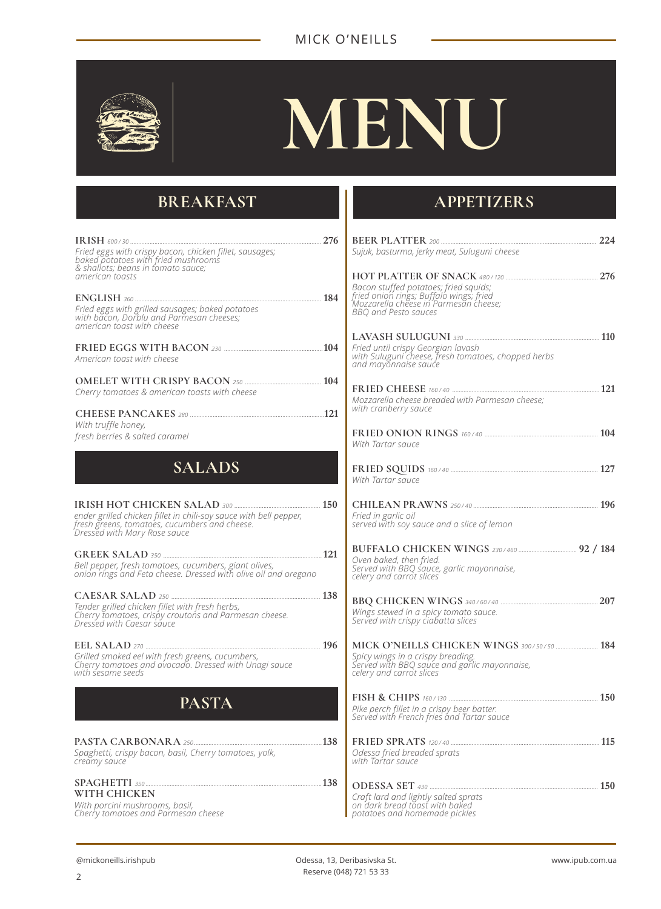#### MICK O'NEILLS



# **MENU**

# **BREAKFAST**

| Fried eggs with crispy bacon, chicken fillet, sausages;<br>baked potatoes with fried mushrooms<br>& shallots; beans in tomato sauce;               | <b>BEER</b><br>Sujuk, bi                         |
|----------------------------------------------------------------------------------------------------------------------------------------------------|--------------------------------------------------|
| american toasts                                                                                                                                    | <b>HOTP</b><br>Bacon s<br>fried on.              |
| Fried eggs with grilled sausages; baked potatoes<br>with bacon, Dorblu and Parmesan cheeses;<br>american toast with cheese                         | Mozzare<br>BBQ an                                |
| American toast with cheese                                                                                                                         | <b>LAVAS</b><br>Fried un<br>with Sul<br>and ma   |
| Cherry tomatoes & american toasts with cheese                                                                                                      | <b>FRIED</b>                                     |
| With truffle honey,                                                                                                                                | Mozzare<br>with cra                              |
| fresh berries & salted caramel                                                                                                                     | <b>FRIED</b><br>With Tai                         |
| SALADS                                                                                                                                             | <b>FRIED</b><br>With Tai                         |
| ender grilled chicken fillet in chili-soy sauce with bell pepper,<br>fresh greens, tomatoes, cucumbers and cheese.<br>Dressed with Mary Rose sauce | <b>CHILE</b><br>Fried in<br>served v             |
| Bell pepper, fresh tomatoes, cucumbers, giant olives,<br>onion rings and Feta cheese. Dressed with olive oil and oregano                           | <b>BUFFA</b><br>Oven bo<br>Served v<br>celery al |
| Tender grilled chicken fillet with fresh herbs,<br>Cherry tomatoes, crispy croutons and Parmesan cheese.<br>Dressed with Caesar sauce              | <b>BBQ C</b><br>Wings si<br>Served v             |
| Grilled smoked eel with fresh greens, cucumbers,<br>Cherry tomatoes and avocado. Dressed with Unagi sauce<br>with sesame seeds                     | <b>MICK</b><br>Spicy wi<br>Served v<br>celery a  |
| <b>PASTA</b>                                                                                                                                       | FISH &<br>Pike per<br>Served v                   |
| Spaghetti, crispy bacon, basil, Cherry tomatoes, yolk,<br>creamy sauce                                                                             | <b>FRIED</b><br>Odessa<br>with Tar               |
| WITH CHICKEN                                                                                                                                       | <b>ODES:</b><br>Craft lai                        |

## **APPETIZERS**

| .276             |                                                                                                                                                          |  |
|------------------|----------------------------------------------------------------------------------------------------------------------------------------------------------|--|
|                  | Sujuk, basturma, jerky meat, Suluguni cheese                                                                                                             |  |
|                  |                                                                                                                                                          |  |
| $\therefore$ 184 | Bacon stuffed potatoes; fried squids;<br>fried onion rings; Buffalo wings; fried<br>Mozzarella cheese in Parmesan cheese;<br><b>BBQ and Pesto sauces</b> |  |
|                  |                                                                                                                                                          |  |
| 104              | Fried until crispy Georgian lavash<br>with Suluguni cheese, fresh tomatoes, chopped herbs<br>and mayonnaise sauce                                        |  |
| $\therefore$ 104 |                                                                                                                                                          |  |
| 121              | Mozzarella cheese breaded with Parmesan cheese;<br>with cranberry sauce                                                                                  |  |
|                  |                                                                                                                                                          |  |
|                  | With Tartar sauce                                                                                                                                        |  |
|                  | With Tartar sauce                                                                                                                                        |  |
| .150             | Fried in garlic oil<br>served with soy sauce and a slice of lemon                                                                                        |  |
| $\ldots$ 121     | Oven baked, then fried.<br>Served with BBQ sauce, garlic mayonnaise,<br>celery and carrot slices                                                         |  |
| 138              | Wings stewed in a spicy tomato sauce.<br>Served with crispy ciabatta slices                                                                              |  |
| .196             | Spicy wings in a crispy breading.<br>Served with BBQ sauce and garlic mayonnaise,<br>celery and carrot slices                                            |  |
|                  | Pike perch fillet in a crispy beer batter.<br>Served with French fries and Tartar sauce                                                                  |  |
| .138             | Odessa fried breaded sprats<br>with Tartar sauce                                                                                                         |  |
| 138              | Craft lard and lightly salted sprats                                                                                                                     |  |
|                  | on dark bread toast with baked<br>potatoes and homemade pickles                                                                                          |  |

*With porcini mushrooms, basil, Cherry tomatoes and Parmesan cheese*